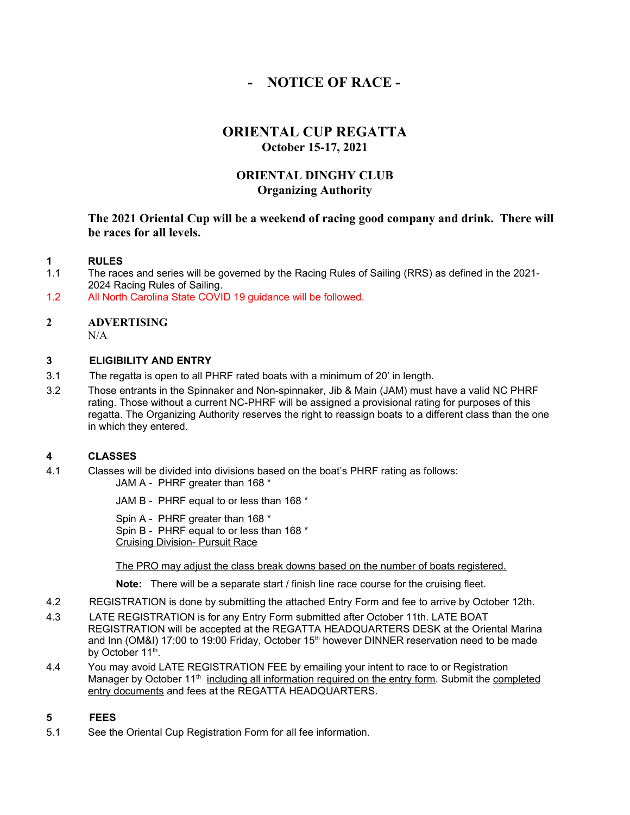# **- NOTICE OF RACE -**

# **ORIENTAL CUP REGATTA October 15-17, 2021**

## **ORIENTAL DINGHY CLUB Organizing Authority**

## **The 2021 Oriental Cup will be a weekend of racing good company and drink. There will be races for all levels.**

## **1 RULES**

- 1.1The races and series will be governed by the Racing Rules of Sailing (RRS) as defined in the 2021- 2024 Racing Rules of Sailing.
- 1.2 All North Carolina State COVID 19 guidance will be followed.

# **2 ADVERTISING**

 $N/A$ 

#### **3 ELIGIBILITY AND ENTRY**

- 3.1The regatta is open to all PHRF rated boats with a minimum of 20' in length.
- 3.2Those entrants in the Spinnaker and Non-spinnaker, Jib & Main (JAM) must have a valid NC PHRF rating. Those without a current NC-PHRF will be assigned a provisional rating for purposes of this regatta. The Organizing Authority reserves the right to reassign boats to a different class than the one in which they entered.

## **4 CLASSES**

4.1Classes will be divided into divisions based on the boat's PHRF rating as follows: JAM A - PHRF greater than 168 \*

JAM B - PHRF equal to or less than 168 \*

Spin A - PHRF greater than 168 \* Spin B - PHRF equal to or less than 168 \* Cruising Division- Pursuit Race

The PRO may adjust the class break downs based on the number of boats registered.

**Note:** There will be a separate start / finish line race course for the cruising fleet.

- 4.2 REGISTRATION is done by submitting the attached Entry Form and fee to arrive by October 12th.
- 4.3LATE REGISTRATION is for any Entry Form submitted after October 11th. LATE BOAT REGISTRATION will be accepted at the REGATTA HEADQUARTERS DESK at the Oriental Marina and Inn (OM&I) 17:00 to 19:00 Friday, October  $15<sup>th</sup>$  however DINNER reservation need to be made by October 11<sup>th</sup>.
- 4.4 You may avoid LATE REGISTRATION FEE by emailing your intent to race to or Registration Manager by October 11<sup>th</sup> including all information required on the entry form. Submit the completed entry documents and fees at the REGATTA HEADQUARTERS.

## **5 FEES**

5.1 See the Oriental Cup Registration Form for all fee information.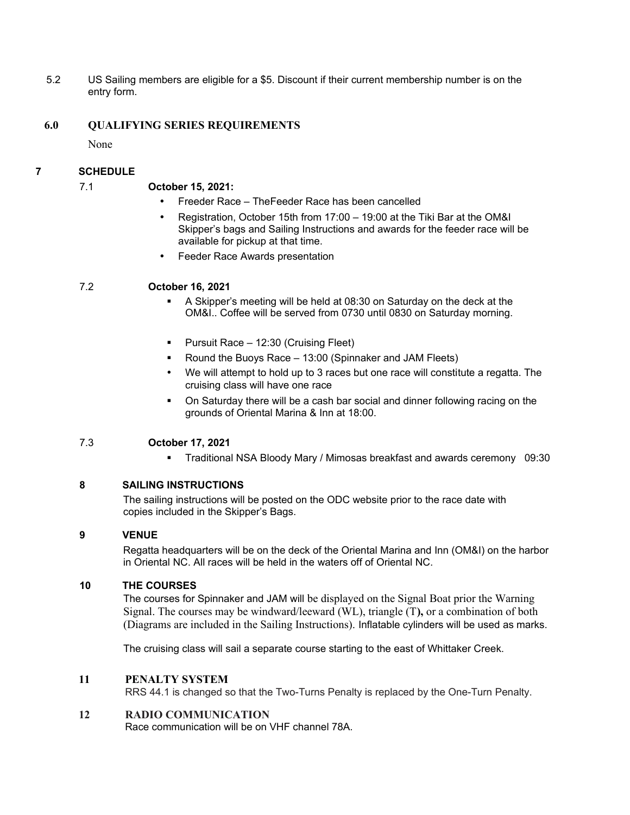5.2 US Sailing members are eligible for a \$5. Discount if their current membership number is on the entry form.

## **6.0 QUALIFYING SERIES REQUIREMENTS**

None

## **7 SCHEDULE**

#### 7.1 **October 15, 2021:**

- Freeder Race TheFeeder Race has been cancelled
- Registration, October 15th from 17:00 19:00 at the Tiki Bar at the OM&I Skipper's bags and Sailing Instructions and awards for the feeder race will be available for pickup at that time.
- Feeder Race Awards presentation

## 7.2 **October 16, 2021**

- A Skipper's meeting will be held at 08:30 on Saturday on the deck at the OM&I.. Coffee will be served from 0730 until 0830 on Saturday morning.
- Pursuit Race 12:30 (Cruising Fleet)
- Round the Buoys Race 13:00 (Spinnaker and JAM Fleets)
- We will attempt to hold up to 3 races but one race will constitute a regatta. The cruising class will have one race
- On Saturday there will be a cash bar social and dinner following racing on the grounds of Oriental Marina & Inn at 18:00.

## 7.3 **October 17, 2021**

Traditional NSA Bloody Mary / Mimosas breakfast and awards ceremony 09:30

## **8 SAILING INSTRUCTIONS**

The sailing instructions will be posted on the ODC website prior to the race date with copies included in the Skipper's Bags.

#### **9 VENUE**

Regatta headquarters will be on the deck of the Oriental Marina and Inn (OM&I) on the harbor in Oriental NC. All races will be held in the waters off of Oriental NC.

#### **10 THE COURSES**

The courses for Spinnaker and JAM will be displayed on the Signal Boat prior the Warning Signal. The courses may be windward/leeward (WL), triangle (T**),** or a combination of both (Diagrams are included in the Sailing Instructions). Inflatable cylinders will be used as marks.

The cruising class will sail a separate course starting to the east of Whittaker Creek.

#### **11 PENALTY SYSTEM**

RRS 44.1 is changed so that the Two-Turns Penalty is replaced by the One-Turn Penalty.

#### **12 RADIO COMMUNICATION**

Race communication will be on VHF channel 78A.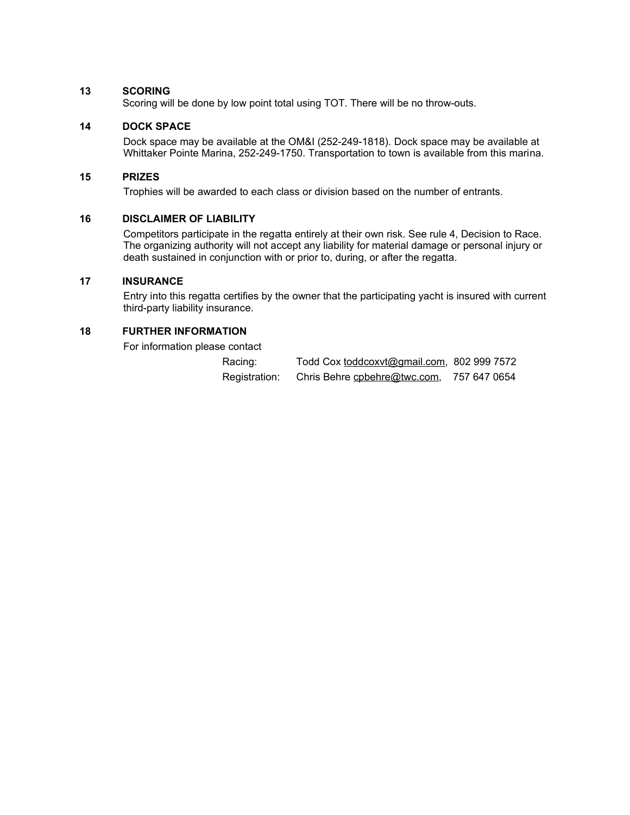#### **13 SCORING**

Scoring will be done by low point total using TOT. There will be no throw-outs.

## **14 DOCK SPACE**

Dock space may be available at the OM&I (252-249-1818). Dock space may be available at Whittaker Pointe Marina, 252-249-1750. Transportation to town is available from this marina.

#### **15 PRIZES**

Trophies will be awarded to each class or division based on the number of entrants.

#### **16 DISCLAIMER OF LIABILITY**

Competitors participate in the regatta entirely at their own risk. See rule 4, Decision to Race. The organizing authority will not accept any liability for material damage or personal injury or death sustained in conjunction with or prior to, during, or after the regatta.

#### **17 INSURANCE**

Entry into this regatta certifies by the owner that the participating yacht is insured with current third-party liability insurance.

### **18 FURTHER INFORMATION**

For information please contact

| Racing:       | Todd Cox toddcoxvt@gmail.com, 802 999 7572 |              |
|---------------|--------------------------------------------|--------------|
| Registration: | Chris Behre cpbehre@twc.com,               | 757 647 0654 |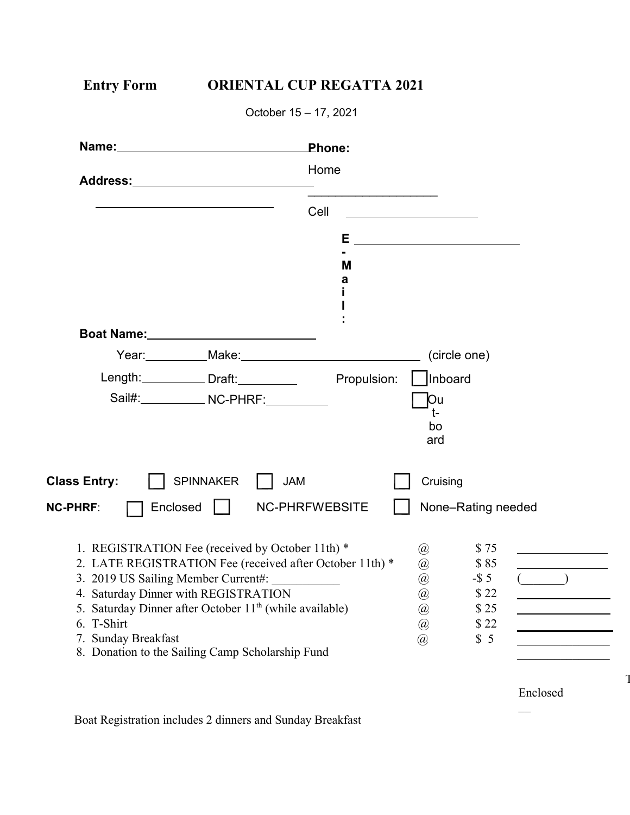| <b>Entry Form</b>                                                                                                  | <b>ORIENTAL CUP REGATTA 2021</b>                                                                                                                                                                                               |                              |                       |                    |          |
|--------------------------------------------------------------------------------------------------------------------|--------------------------------------------------------------------------------------------------------------------------------------------------------------------------------------------------------------------------------|------------------------------|-----------------------|--------------------|----------|
|                                                                                                                    | October 15 - 17, 2021                                                                                                                                                                                                          |                              |                       |                    |          |
|                                                                                                                    |                                                                                                                                                                                                                                | Phone:                       |                       |                    |          |
|                                                                                                                    | Address: Andreas Address and Address and Address and Address and Address and Address and Address and Address and Address and Address and Address and Address and Address and Address and Address and Address and Address and A | Home                         |                       |                    |          |
|                                                                                                                    |                                                                                                                                                                                                                                | Cell                         |                       |                    |          |
|                                                                                                                    |                                                                                                                                                                                                                                | E __________________________ |                       |                    |          |
|                                                                                                                    |                                                                                                                                                                                                                                | M<br>a                       |                       |                    |          |
|                                                                                                                    | Boat Name: 2008 2010 2021 2022 2022 2023 2024 2022 2022 2023 2024 2022 2023 2024 2022 2023 2024 2025 2026 2027                                                                                                                 |                              |                       |                    |          |
|                                                                                                                    |                                                                                                                                                                                                                                |                              |                       |                    |          |
|                                                                                                                    | Length: Draft: Propulsion:                                                                                                                                                                                                     |                              | Inboard               |                    |          |
|                                                                                                                    | Sail#:______________ NC-PHRF:___________                                                                                                                                                                                       |                              | Юu<br>t-<br>bo<br>ard |                    |          |
| <b>Class Entry:</b>                                                                                                | SPINNAKER<br><b>JAM</b>                                                                                                                                                                                                        |                              | Cruising              |                    |          |
| <b>NC-PHRF:</b>                                                                                                    | Enclosed                                                                                                                                                                                                                       | <b>NC-PHRFWEBSITE</b>        |                       | None-Rating needed |          |
|                                                                                                                    | 1. REGISTRATION Fee (received by October 11th) *                                                                                                                                                                               |                              | @                     | \$75               |          |
| 2. LATE REGISTRATION Fee (received after October 11th) *<br>\$85<br>@                                              |                                                                                                                                                                                                                                |                              |                       |                    |          |
| $-$ \$5<br>3. 2019 US Sailing Member Current#:<br>@<br>4. Saturday Dinner with REGISTRATION<br>$\circleda$<br>\$22 |                                                                                                                                                                                                                                |                              |                       |                    |          |
| Saturday Dinner after October 11 <sup>th</sup> (while available)<br>@<br>5.                                        |                                                                                                                                                                                                                                |                              |                       | \$25               |          |
| 6. T-Shirt                                                                                                         |                                                                                                                                                                                                                                |                              | $\circleda$           | \$22               |          |
| 7. Sunday Breakfast                                                                                                | 8. Donation to the Sailing Camp Scholarship Fund                                                                                                                                                                               |                              | $\mathcal{D}$         | \$5                |          |
|                                                                                                                    |                                                                                                                                                                                                                                |                              |                       |                    | Enclosed |
|                                                                                                                    |                                                                                                                                                                                                                                |                              |                       |                    |          |

Tot

Boat Registration includes 2 dinners and Sunday Breakfast